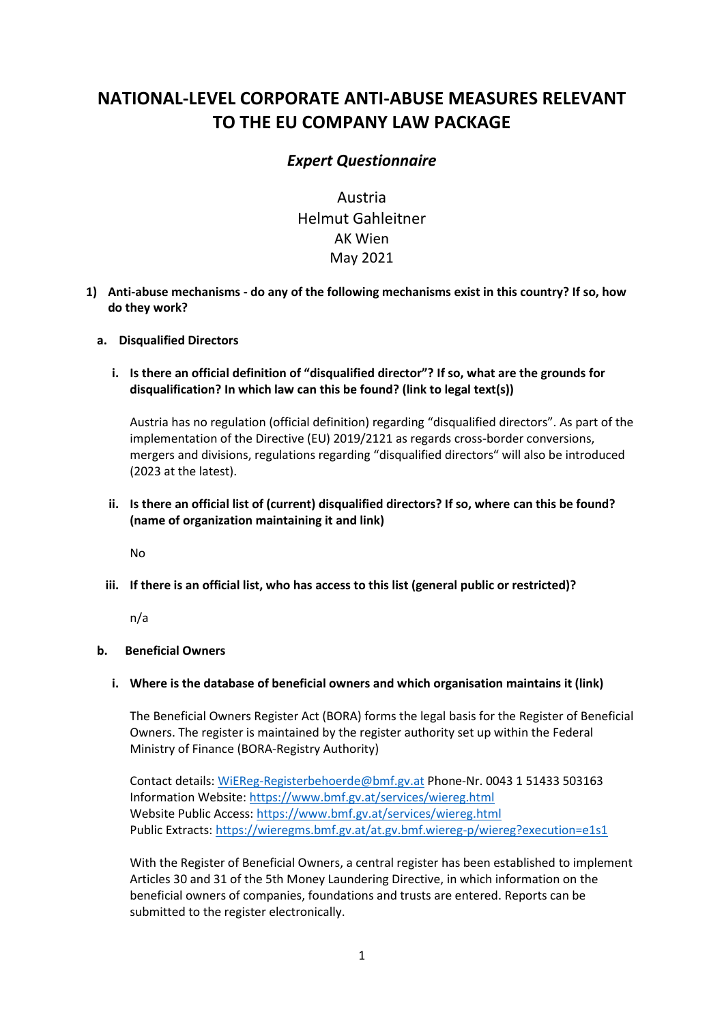# **NATIONAL-LEVEL CORPORATE ANTI-ABUSE MEASURES RELEVANT TO THE EU COMPANY LAW PACKAGE**

# *Expert Questionnaire*

Austria Helmut Gahleitner AK Wien May 2021

**1) Anti-abuse mechanisms - do any of the following mechanisms exist in this country? If so, how do they work?**

# **a. Disqualified Directors**

**i. Is there an official definition of "disqualified director"? If so, what are the grounds for disqualification? In which law can this be found? (link to legal text(s))** 

Austria has no regulation (official definition) regarding "disqualified directors". As part of the implementation of the Directive (EU) 2019/2121 as regards cross-border conversions, mergers and divisions, regulations regarding "disqualified directors" will also be introduced (2023 at the latest).

# **ii. Is there an official list of (current) disqualified directors? If so, where can this be found? (name of organization maintaining it and link)**

No

**iii. If there is an official list, who has access to this list (general public or restricted)?**

n/a

#### **b. Beneficial Owners**

#### **i. Where is the database of beneficial owners and which organisation maintains it (link)**

The Beneficial Owners Register Act (BORA) forms the legal basis for the Register of Beneficial Owners. The register is maintained by the register authority set up within the Federal Ministry of Finance (BORA-Registry Authority)

Contact details: [WiEReg-Registerbehoerde@bmf.gv.at](mailto:WiEReg-Registerbehoerde@bmf.gv.at) Phone-Nr. 0043 1 51433 503163 Information Website:<https://www.bmf.gv.at/services/wiereg.html> Website Public Access:<https://www.bmf.gv.at/services/wiereg.html> Public Extracts:<https://wieregms.bmf.gv.at/at.gv.bmf.wiereg-p/wiereg?execution=e1s1>

With the Register of Beneficial Owners, a central register has been established to implement Articles 30 and 31 of the 5th Money Laundering Directive, in which information on the beneficial owners of companies, foundations and trusts are entered. Reports can be submitted to the register electronically.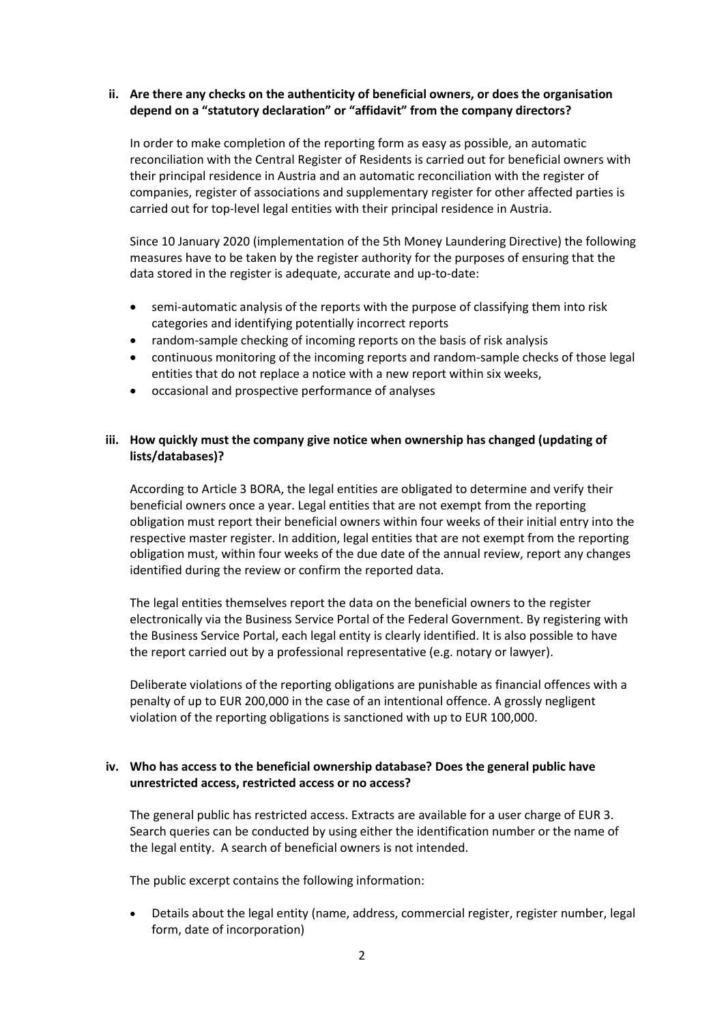#### **ii. Are there any checks on the authenticity of beneficial owners, or does the organisation depend on a "statutory declaration" or "affidavit" from the company directors?**

In order to make completion of the reporting form as easy as possible, an automatic reconciliation with the Central Register of Residents is carried out for beneficial owners with their principal residence in Austria and an automatic reconciliation with the register of companies, register of associations and supplementary register for other affected parties is carried out for top-level legal entities with their principal residence in Austria.

Since 10 January 2020 (implementation of the 5th Money Laundering Directive) the following measures have to be taken by the register authority for the purposes of ensuring that the data stored in the register is adequate, accurate and up-to-date:

- semi-automatic analysis of the reports with the purpose of classifying them into risk categories and identifying potentially incorrect reports
- random-sample checking of incoming reports on the basis of risk analysis
- continuous monitoring of the incoming reports and random-sample checks of those legal entities that do not replace a notice with a new report within six weeks,
- occasional and prospective performance of analyses

# **iii. How quickly must the company give notice when ownership has changed (updating of lists/databases)?**

According to Article 3 BORA, the legal entities are obligated to determine and verify their beneficial owners once a year. Legal entities that are not exempt from the reporting obligation must report their beneficial owners within four weeks of their initial entry into the respective master register. In addition, legal entities that are not exempt from the reporting obligation must, within four weeks of the due date of the annual review, report any changes identified during the review or confirm the reported data.

The legal entities themselves report the data on the beneficial owners to the register electronically via the Business Service Portal of the Federal Government. By registering with the Business Service Portal, each legal entity is clearly identified. It is also possible to have the report carried out by a professional representative (e.g. notary or lawyer).

Deliberate violations of the reporting obligations are punishable as financial offences with a penalty of up to EUR 200,000 in the case of an intentional offence. A grossly negligent violation of the reporting obligations is sanctioned with up to EUR 100,000.

# **iv. Who has access to the beneficial ownership database? Does the general public have unrestricted access, restricted access or no access?**

The general public has restricted access. Extracts are available for a user charge of EUR 3. Search queries can be conducted by using either the identification number or the name of the legal entity. A search of beneficial owners is not intended.

The public excerpt contains the following information:

• Details about the legal entity (name, address, commercial register, register number, legal form, date of incorporation)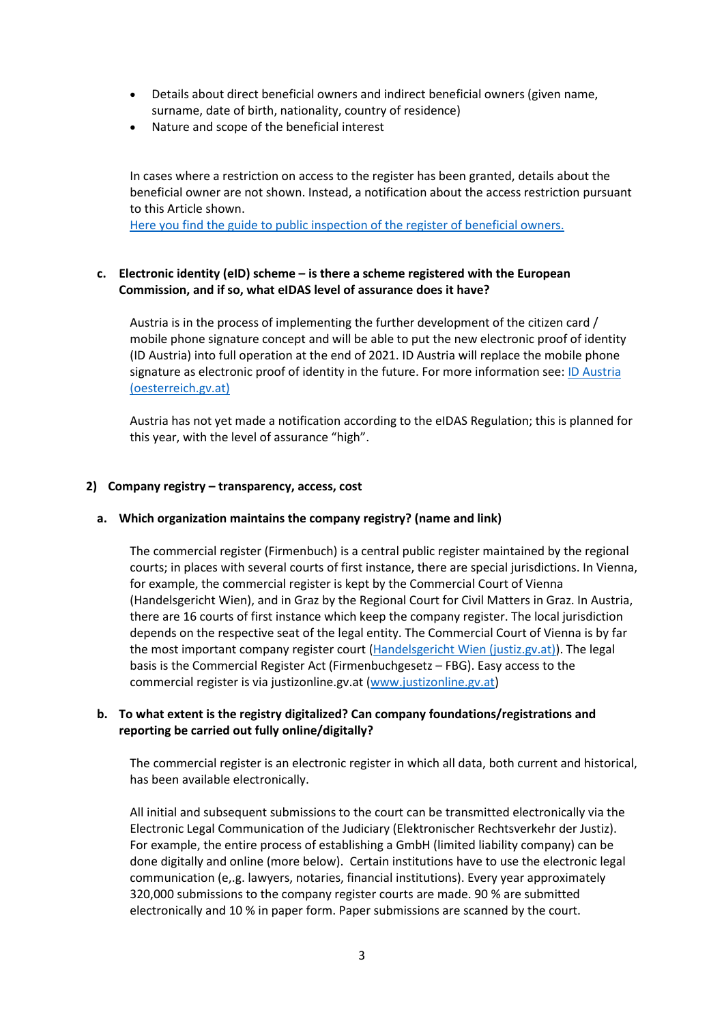- Details about direct beneficial owners and indirect beneficial owners (given name, surname, date of birth, nationality, country of residence)
- Nature and scope of the beneficial interest

In cases where a restriction on access to the register has been granted, details about the beneficial owner are not shown. Instead, a notification about the access restriction pursuant to this Article shown.

[Here you find the guide to public inspection of the register of beneficial owners.](https://www.bmf.gv.at/dam/jcr:1f887174-9a74-4cb4-990a-d756aecf621c/2020-03-17%20Guide%20to%20public%20inspection.pdf) 

# **c. Electronic identity (eID) scheme – is there a scheme registered with the European Commission, and if so, what eIDAS level of assurance does it have?**

Austria is in the process of implementing the further development of the citizen card / mobile phone signature concept and will be able to put the new electronic proof of identity (ID Austria) into full operation at the end of 2021. ID Austria will replace the mobile phone signature as electronic proof of identity in the future. For more information see: ID Austria [\(oesterreich.gv.at\)](https://eur03.safelinks.protection.outlook.com/?url=https%3A%2F%2Fwww.oesterreich.gv.at%2Fthemen%2Fdokumente_und_recht%2Fid-austria.html&data=04%7C01%7CHelmut.GAHLEITNER%40akwien.at%7Ceb845c516d47487edfcb08d8e3e54e18%7C18118d2e26f6406f9d11deb44a2b92bb%7C0%7C0%7C637509921291817149%7CUnknown%7CTWFpbGZsb3d8eyJWIjoiMC4wLjAwMDAiLCJQIjoiV2luMzIiLCJBTiI6Ik1haWwiLCJXVCI6Mn0%3D%7C1000&sdata=TMFgXSlI1Rl1jFHAkaFD31NsnCVN4OD48vbzUU8gaJs%3D&reserved=0)

Austria has not yet made a notification according to the eIDAS Regulation; this is planned for this year, with the level of assurance "high".

# **2) Company registry – transparency, access, cost**

#### **a. Which organization maintains the company registry? (name and link)**

The commercial register (Firmenbuch) is a central public register maintained by the regional courts; in places with several courts of first instance, there are special jurisdictions. In Vienna, for example, the commercial register is kept by the Commercial Court of Vienna (Handelsgericht Wien), and in Graz by the Regional Court for Civil Matters in Graz. In Austria, there are 16 courts of first instance which keep the company register. The local jurisdiction depends on the respective seat of the legal entity. The Commercial Court of Vienna is by far the most important company register court [\(Handelsgericht Wien \(justiz.gv.at\)\)](https://www.justiz.gv.at/hg-wien/handelsgericht-wien~26d.de.html). The legal basis is the Commercial Register Act (Firmenbuchgesetz – FBG). Easy access to the commercial register is via justizonline.gv.at [\(www.justizonline.gv.at\)](http://www.justizonline.gv.at/)

# **b. To what extent is the registry digitalized? Can company foundations/registrations and reporting be carried out fully online/digitally?**

The commercial register is an electronic register in which all data, both current and historical, has been available electronically.

All initial and subsequent submissions to the court can be transmitted electronically via the Electronic Legal Communication of the Judiciary (Elektronischer Rechtsverkehr der Justiz). For example, the entire process of establishing a GmbH (limited liability company) can be done digitally and online (more below). Certain institutions have to use the electronic legal communication (e,.g. lawyers, notaries, financial institutions). Every year approximately 320,000 submissions to the company register courts are made. 90 % are submitted electronically and 10 % in paper form. Paper submissions are scanned by the court.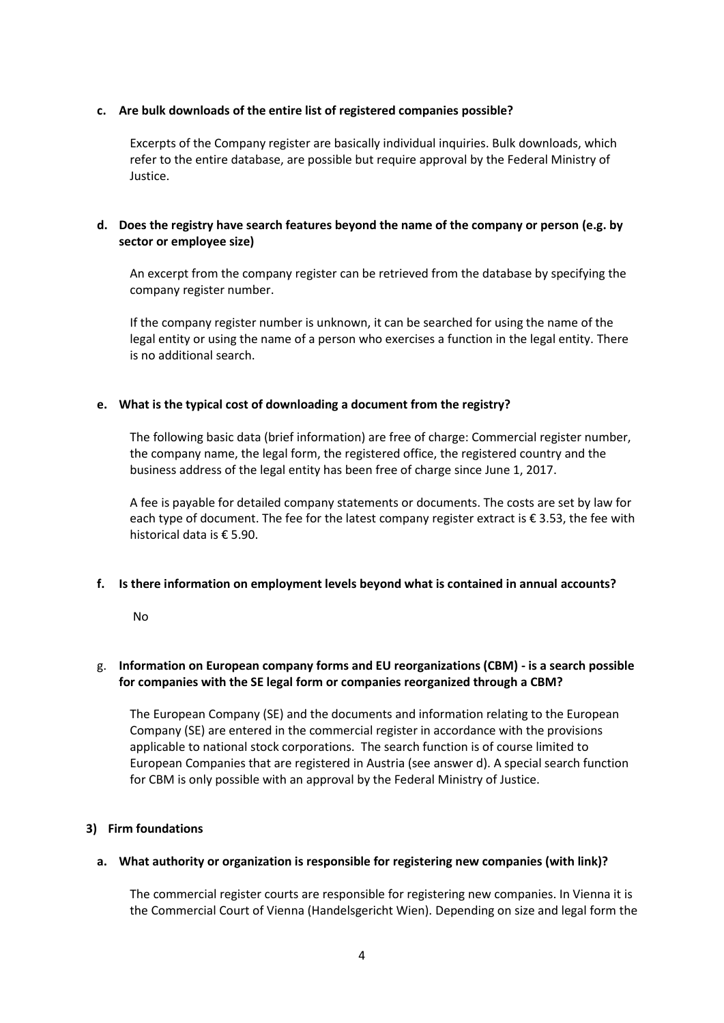#### **c. Are bulk downloads of the entire list of registered companies possible?**

Excerpts of the Company register are basically individual inquiries. Bulk downloads, which refer to the entire database, are possible but require approval by the Federal Ministry of Justice.

# **d. Does the registry have search features beyond the name of the company or person (e.g. by sector or employee size)**

An excerpt from the company register can be retrieved from the database by specifying the company register number.

If the company register number is unknown, it can be searched for using the name of the legal entity or using the name of a person who exercises a function in the legal entity. There is no additional search.

# **e. What is the typical cost of downloading a document from the registry?**

The following basic data (brief information) are free of charge: Commercial register number, the company name, the legal form, the registered office, the registered country and the business address of the legal entity has been free of charge since June 1, 2017.

A fee is payable for detailed company statements or documents. The costs are set by law for each type of document. The fee for the latest company register extract is € 3.53, the fee with historical data is € 5.90.

# **f. Is there information on employment levels beyond what is contained in annual accounts?**

No

# g. **Information on European company forms and EU reorganizations (CBM) - is a search possible for companies with the SE legal form or companies reorganized through a CBM?**

The European Company (SE) and the documents and information relating to the European Company (SE) are entered in the commercial register in accordance with the provisions applicable to national stock corporations. The search function is of course limited to European Companies that are registered in Austria (see answer d). A special search function for CBM is only possible with an approval by the Federal Ministry of Justice.

#### **3) Firm foundations**

#### **a. What authority or organization is responsible for registering new companies (with link)?**

The commercial register courts are responsible for registering new companies. In Vienna it is the Commercial Court of Vienna (Handelsgericht Wien). Depending on size and legal form the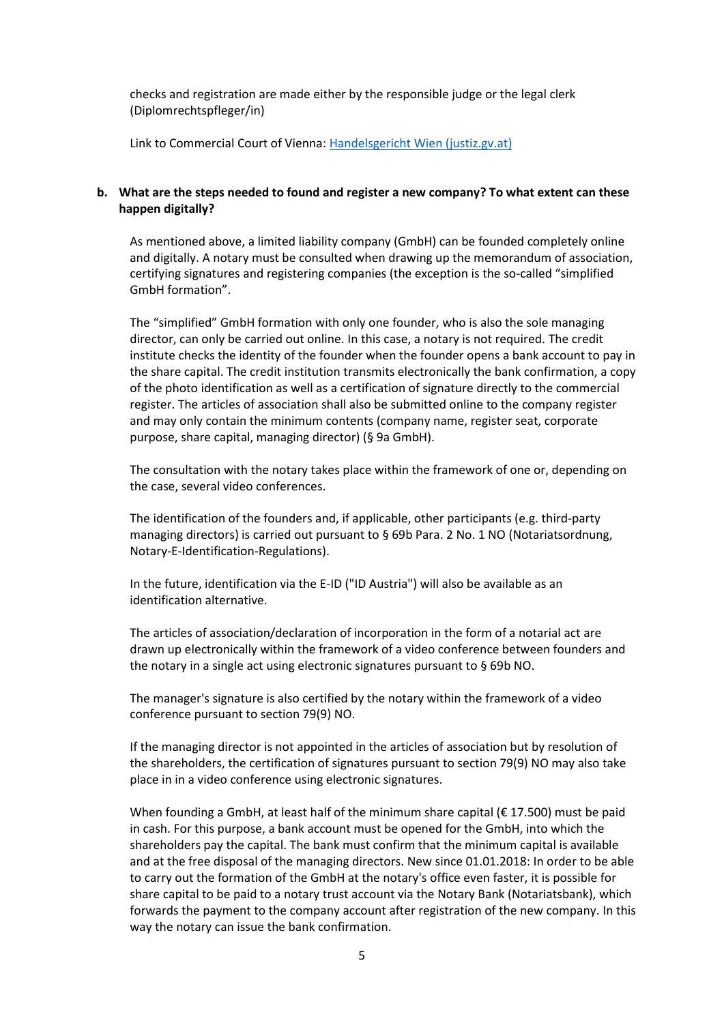checks and registration are made either by the responsible judge or the legal clerk (Diplomrechtspfleger/in)

Link to Commercial Court of Vienna: [Handelsgericht Wien \(justiz.gv.at\)](https://www.justiz.gv.at/hg-wien/handelsgericht-wien~26d.de.html)

#### **b. What are the steps needed to found and register a new company? To what extent can these happen digitally?**

As mentioned above, a limited liability company (GmbH) can be founded completely online and digitally. A notary must be consulted when drawing up the memorandum of association, certifying signatures and registering companies (the exception is the so-called "simplified GmbH formation".

The "simplified" GmbH formation with only one founder, who is also the sole managing director, can only be carried out online. In this case, a notary is not required. The credit institute checks the identity of the founder when the founder opens a bank account to pay in the share capital. The credit institution transmits electronically the bank confirmation, a copy of the photo identification as well as a certification of signature directly to the commercial register. The articles of association shall also be submitted online to the company register and may only contain the minimum contents (company name, register seat, corporate purpose, share capital, managing director) (§ 9a GmbH).

The consultation with the notary takes place within the framework of one or, depending on the case, several video conferences.

The identification of the founders and, if applicable, other participants (e.g. third-party managing directors) is carried out pursuant to § 69b Para. 2 No. 1 NO (Notariatsordnung, Notary-E-Identification-Regulations).

In the future, identification via the E-ID ("ID Austria") will also be available as an identification alternative.

The articles of association/declaration of incorporation in the form of a notarial act are drawn up electronically within the framework of a video conference between founders and the notary in a single act using electronic signatures pursuant to § 69b NO.

The manager's signature is also certified by the notary within the framework of a video conference pursuant to section 79(9) NO.

If the managing director is not appointed in the articles of association but by resolution of the shareholders, the certification of signatures pursuant to section 79(9) NO may also take place in in a video conference using electronic signatures.

When founding a GmbH, at least half of the minimum share capital ( $\epsilon$  17.500) must be paid in cash. For this purpose, a bank account must be opened for the GmbH, into which the shareholders pay the capital. The bank must confirm that the minimum capital is available and at the free disposal of the managing directors. New since 01.01.2018: In order to be able to carry out the formation of the GmbH at the notary's office even faster, it is possible for share capital to be paid to a notary trust account via the Notary Bank (Notariatsbank), which forwards the payment to the company account after registration of the new company. In this way the notary can issue the bank confirmation.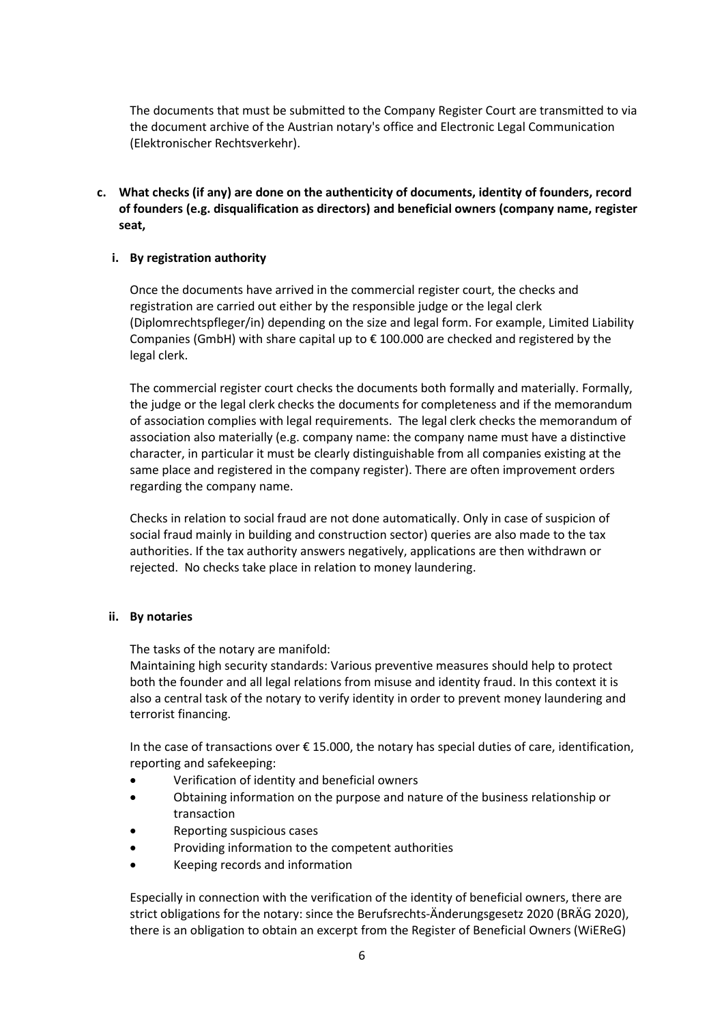The documents that must be submitted to the Company Register Court are transmitted to via the document archive of the Austrian notary's office and Electronic Legal Communication (Elektronischer Rechtsverkehr).

**c. What checks (if any) are done on the authenticity of documents, identity of founders, record of founders (e.g. disqualification as directors) and beneficial owners (company name, register seat,** 

#### **i. By registration authority**

Once the documents have arrived in the commercial register court, the checks and registration are carried out either by the responsible judge or the legal clerk (Diplomrechtspfleger/in) depending on the size and legal form. For example, Limited Liability Companies (GmbH) with share capital up to  $\epsilon$  100.000 are checked and registered by the legal clerk.

The commercial register court checks the documents both formally and materially. Formally, the judge or the legal clerk checks the documents for completeness and if the memorandum of association complies with legal requirements. The legal clerk checks the memorandum of association also materially (e.g. company name: the company name must have a distinctive character, in particular it must be clearly distinguishable from all companies existing at the same place and registered in the company register). There are often improvement orders regarding the company name.

Checks in relation to social fraud are not done automatically. Only in case of suspicion of social fraud mainly in building and construction sector) queries are also made to the tax authorities. If the tax authority answers negatively, applications are then withdrawn or rejected. No checks take place in relation to money laundering.

#### **ii. By notaries**

The tasks of the notary are manifold:

Maintaining high security standards: Various preventive measures should help to protect both the founder and all legal relations from misuse and identity fraud. In this context it is also a central task of the notary to verify identity in order to prevent money laundering and terrorist financing.

In the case of transactions over € 15.000, the notary has special duties of care, identification, reporting and safekeeping:

- Verification of identity and beneficial owners
- Obtaining information on the purpose and nature of the business relationship or transaction
- Reporting suspicious cases
- Providing information to the competent authorities
- Keeping records and information

Especially in connection with the verification of the identity of beneficial owners, there are strict obligations for the notary: since the Berufsrechts-Änderungsgesetz 2020 (BRÄG 2020), there is an obligation to obtain an excerpt from the Register of Beneficial Owners (WiEReG)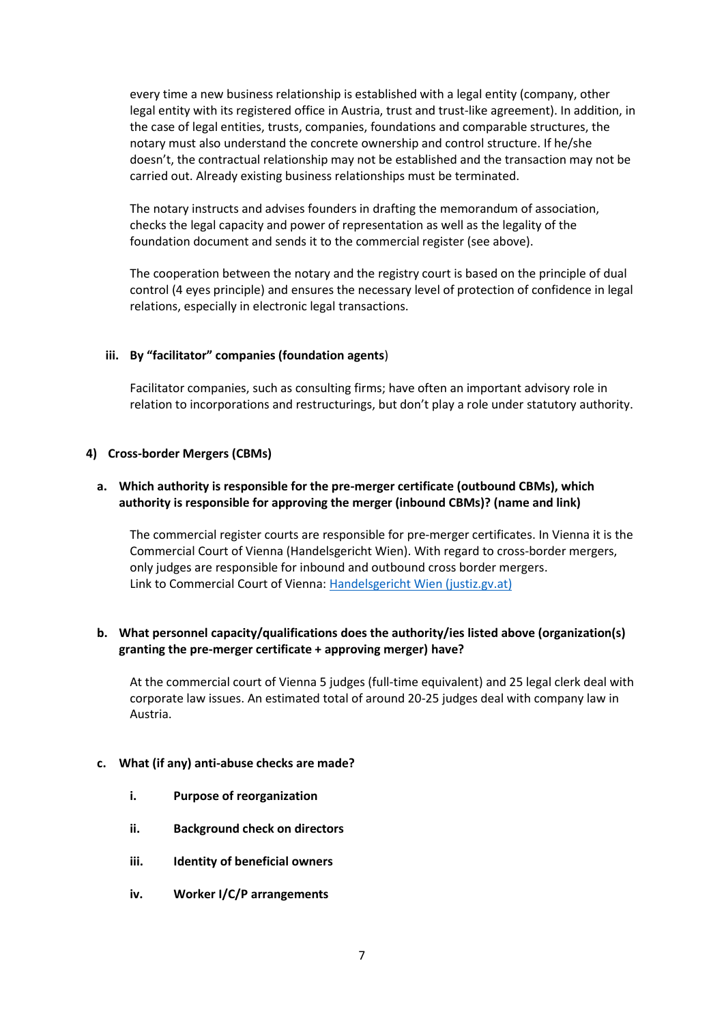every time a new business relationship is established with a legal entity (company, other legal entity with its registered office in Austria, trust and trust-like agreement). In addition, in the case of legal entities, trusts, companies, foundations and comparable structures, the notary must also understand the concrete ownership and control structure. If he/she doesn't, the contractual relationship may not be established and the transaction may not be carried out. Already existing business relationships must be terminated.

The notary instructs and advises founders in drafting the memorandum of association, checks the legal capacity and power of representation as well as the legality of the foundation document and sends it to the commercial register (see above).

The cooperation between the notary and the registry court is based on the principle of dual control (4 eyes principle) and ensures the necessary level of protection of confidence in legal relations, especially in electronic legal transactions.

# **iii. By "facilitator" companies (foundation agents**)

Facilitator companies, such as consulting firms; have often an important advisory role in relation to incorporations and restructurings, but don't play a role under statutory authority.

#### **4) Cross-border Mergers (CBMs)**

# **a. Which authority is responsible for the pre-merger certificate (outbound CBMs), which authority is responsible for approving the merger (inbound CBMs)? (name and link)**

The commercial register courts are responsible for pre-merger certificates. In Vienna it is the Commercial Court of Vienna (Handelsgericht Wien). With regard to cross-border mergers, only judges are responsible for inbound and outbound cross border mergers. Link to Commercial Court of Vienna: [Handelsgericht Wien \(justiz.gv.at\)](https://www.justiz.gv.at/hg-wien/handelsgericht-wien~26d.de.html)

# **b. What personnel capacity/qualifications does the authority/ies listed above (organization(s) granting the pre-merger certificate + approving merger) have?**

At the commercial court of Vienna 5 judges (full-time equivalent) and 25 legal clerk deal with corporate law issues. An estimated total of around 20-25 judges deal with company law in Austria.

#### **c. What (if any) anti-abuse checks are made?**

- **i. Purpose of reorganization**
- **ii. Background check on directors**
- **iii. Identity of beneficial owners**
- **iv. Worker I/C/P arrangements**